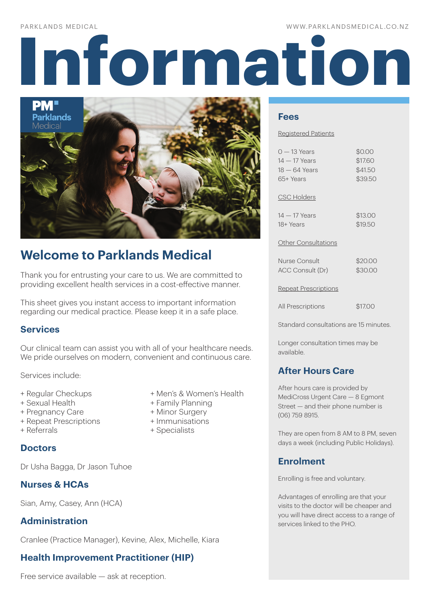### WWW.PARKLANDSMEDICAL.CO.NZ

# **Information**



# **Welcome to Parklands Medical**

Thank you for entrusting your care to us. We are committed to providing excellent health services in a cost-effective manner.

This sheet gives you instant access to important information regarding our medical practice. Please keep it in a safe place.

# **Services**

Our clinical team can assist you with all of your healthcare needs. We pride ourselves on modern, convenient and continuous care.

Services include:

- 
- 
- + Pregnancy Care + Minor Surgery
- + Repeat Prescriptions + Immunisations
- 

# **Doctors**

Dr Usha Bagga, Dr Jason Tuhoe

# **Nurses & HCAs**

Sian, Amy, Casey, Ann (HCA)

# **Administration**

Cranlee (Practice Manager), Kevine, Alex, Michelle, Kiara

# **Health Improvement Practitioner (HIP)**

Free service available — ask at reception.

- + Regular Checkups + Men's & Women's Health
- + Sexual Health + Family Planning
	-
	-
- + Referrals + Specialists

# **Fees**

### Registered Patients

| $0 - 13$ Years             | \$0.00  |
|----------------------------|---------|
| $14-17$ Years              | \$17.60 |
| 18 — 64 Years              | \$41.50 |
| 65+ Years                  | \$39.50 |
| <b>CSC Holders</b>         |         |
| $14-17$ Years              | \$13.00 |
| 18+ Years                  | \$19.50 |
| <b>Other Consultations</b> |         |
| Nurse Consult              | \$20.00 |
| ACC Consult (Dr)           | \$30.00 |

### Repeat Prescriptions

All Prescriptions \$17.00

Standard consultations are 15 minutes.

Longer consultation times may be available.

# **After Hours Care**

After hours care is provided by MediCross Urgent Care — 8 Egmont Street — and their phone number is (06) 759 8915.

They are open from 8 AM to 8 PM, seven days a week (including Public Holidays).

# **Enrolment**

Enrolling is free and voluntary.

Advantages of enrolling are that your visits to the doctor will be cheaper and you will have direct access to a range of services linked to the PHO.